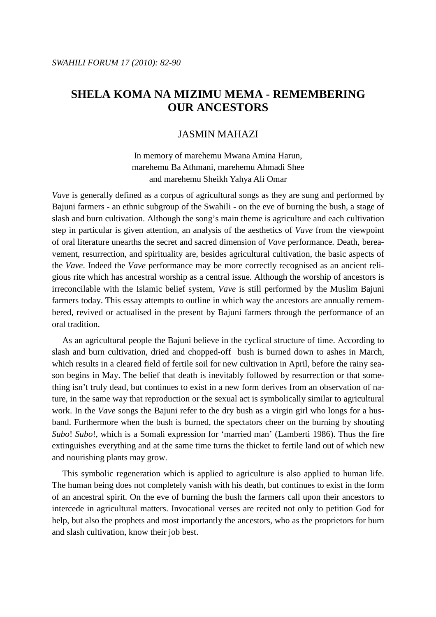# JASMIN MAHAZI

In memory of marehemu Mwana Amina Harun, marehemu Ba Athmani, marehemu Ahmadi Shee and marehemu Sheikh Yahya Ali Omar

*Vave* is generally defined as a corpus of agricultural songs as they are sung and performed by Bajuni farmers - an ethnic subgroup of the Swahili - on the eve of burning the bush, a stage of slash and burn cultivation. Although the song's main theme is agriculture and each cultivation step in particular is given attention, an analysis of the aesthetics of *Vave* from the viewpoint of oral literature unearths the secret and sacred dimension of *Vave* performance. Death, bereavement, resurrection, and spirituality are, besides agricultural cultivation, the basic aspects of the *Vave*. Indeed the *Vave* performance may be more correctly recognised as an ancient religious rite which has ancestral worship as a central issue. Although the worship of ancestors is irreconcilable with the Islamic belief system, *Vave* is still performed by the Muslim Bajuni farmers today. This essay attempts to outline in which way the ancestors are annually remembered, revived or actualised in the present by Bajuni farmers through the performance of an oral tradition.

 As an agricultural people the Bajuni believe in the cyclical structure of time. According to slash and burn cultivation, dried and chopped-off bush is burned down to ashes in March, which results in a cleared field of fertile soil for new cultivation in April, before the rainy season begins in May. The belief that death is inevitably followed by resurrection or that something isn't truly dead, but continues to exist in a new form derives from an observation of nature, in the same way that reproduction or the sexual act is symbolically similar to agricultural work. In the *Vave* songs the Bajuni refer to the dry bush as a virgin girl who longs for a husband. Furthermore when the bush is burned, the spectators cheer on the burning by shouting *Subo*! *Subo*!, which is a Somali expression for 'married man' (Lamberti 1986). Thus the fire extinguishes everything and at the same time turns the thicket to fertile land out of which new and nourishing plants may grow.

 This symbolic regeneration which is applied to agriculture is also applied to human life. The human being does not completely vanish with his death, but continues to exist in the form of an ancestral spirit. On the eve of burning the bush the farmers call upon their ancestors to intercede in agricultural matters. Invocational verses are recited not only to petition God for help, but also the prophets and most importantly the ancestors, who as the proprietors for burn and slash cultivation, know their job best.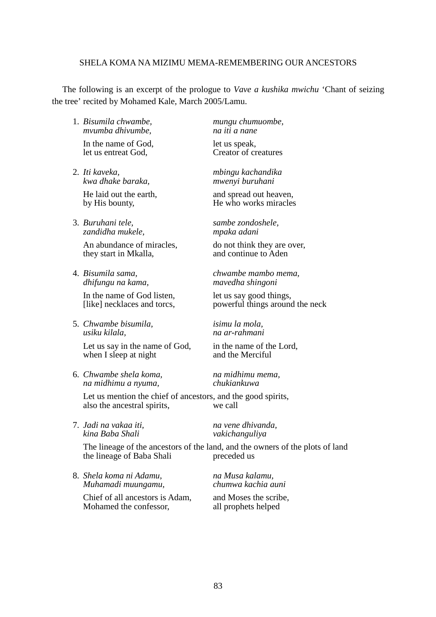The following is an excerpt of the prologue to *Vave a kushika mwichu* 'Chant of seizing the tree' recited by Mohamed Kale, March 2005/Lamu.

- 1. *Bisumila chwambe, mungu chumuombe, mvumba dhivumbe, na iti a nane*  In the name of God,<br>let us entreat God. Creator of cr
- 2. *Iti kaveka, mbingu kachandika*  He laid out the earth, and spread out heaven,
- 3. *Buruhani tele, sambe zondoshele, zandidha mukele, mpaka adani*

they start in Mkalla,

 *dhifungu na kama, mavedha shingoni* 

In the name of God listen,<br>
[like] necklaces and torcs,<br>
powerful things around

5. *Chwambe bisumila, isimu la mola,* 

Let us say in the name of God, in the name of the Lord,<br>when I sleep at night and the Merciful when I sleep at night

6. *Chwambe shela koma, na midhimu mema, na midhimu a nyuma, chukiankuwa* 

Let us mention the chief of ancestors, and the good spirits,<br>also the ancestral spirits, we call also the ancestral spirits,

7. *Jadi na vakaa iti, na vene dhivanda, kina Baba Shali vakichanguliya*

 The lineage of the ancestors of the land, and the owners of the plots of land the lineage of Baba Shali preceded us

8. *Shela koma ni Adamu, na Musa kalamu, Muhamadi muungamu, chumwa kachia auni*

Chief of all ancestors is Adam, and Moses the scribe,<br>Mohamed the confessor, all prophets helped Mohamed the confessor,

Creator of creatures

 *kwa dhake baraka, mwenyi buruhani* 

by His bounty, He who works miracles

An abundance of miracles, do not think they are over,<br>they start in Mkalla and continue to Aden

4. *Bisumila sama, chwambe mambo mema,* 

powerful things around the neck

 *usiku kilala, na ar-rahmani*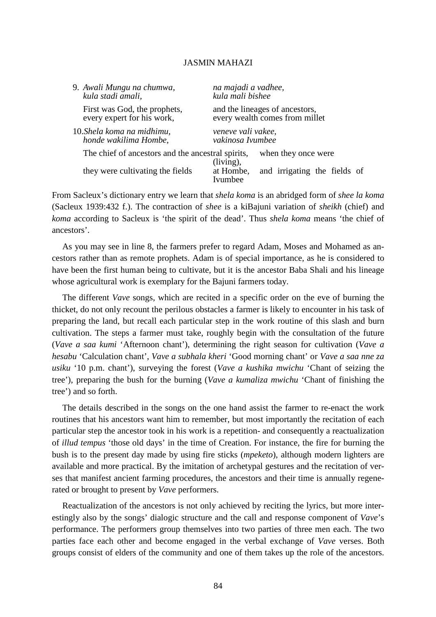| 9. Awali Mungu na chumwa,                         | na majadi a vadhee,                                         |
|---------------------------------------------------|-------------------------------------------------------------|
| kula stadi amali,                                 | kula mali bishee                                            |
| First was God, the prophets,                      | and the lineages of ancestors,                              |
| every expert for his work,                        | every wealth comes from millet                              |
| 10. Shela koma na midhimu,                        | veneve vali vakee,                                          |
| honde wakilima Hombe,                             | vakinosa Ivumbee                                            |
| The chief of ancestors and the ancestral spirits, | when they once were<br>$(living)$ ,                         |
| they were cultivating the fields                  | and irrigating the fields of<br>at Hombe,<br><b>Ivumbee</b> |

From Sacleux's dictionary entry we learn that *shela koma* is an abridged form of *shee la koma* (Sacleux 1939:432 f.). The contraction of *shee* is a kiBajuni variation of *sheikh* (chief) and *koma* according to Sacleux is 'the spirit of the dead'. Thus *shela koma* means 'the chief of ancestors'.

 As you may see in line 8, the farmers prefer to regard Adam, Moses and Mohamed as ancestors rather than as remote prophets. Adam is of special importance, as he is considered to have been the first human being to cultivate, but it is the ancestor Baba Shali and his lineage whose agricultural work is exemplary for the Bajuni farmers today.

 The different *Vave* songs, which are recited in a specific order on the eve of burning the thicket, do not only recount the perilous obstacles a farmer is likely to encounter in his task of preparing the land, but recall each particular step in the work routine of this slash and burn cultivation. The steps a farmer must take, roughly begin with the consultation of the future (*Vave a saa kumi* 'Afternoon chant'), determining the right season for cultivation (*Vave a hesabu* 'Calculation chant', *Vave a subhala kheri* 'Good morning chant' or *Vave a saa nne za usiku* '10 p.m. chant'), surveying the forest (*Vave a kushika mwichu* 'Chant of seizing the tree'), preparing the bush for the burning (*Vave a kumaliza mwichu* 'Chant of finishing the tree') and so forth.

 The details described in the songs on the one hand assist the farmer to re-enact the work routines that his ancestors want him to remember, but most importantly the recitation of each particular step the ancestor took in his work is a repetition- and consequently a reactualization of *illud tempus* 'those old days' in the time of Creation. For instance, the fire for burning the bush is to the present day made by using fire sticks (*mpeketo*), although modern lighters are available and more practical. By the imitation of archetypal gestures and the recitation of verses that manifest ancient farming procedures, the ancestors and their time is annually regenerated or brought to present by *Vave* performers.

 Reactualization of the ancestors is not only achieved by reciting the lyrics, but more interestingly also by the songs' dialogic structure and the call and response component of *Vave*'s performance. The performers group themselves into two parties of three men each. The two parties face each other and become engaged in the verbal exchange of *Vave* verses. Both groups consist of elders of the community and one of them takes up the role of the ancestors.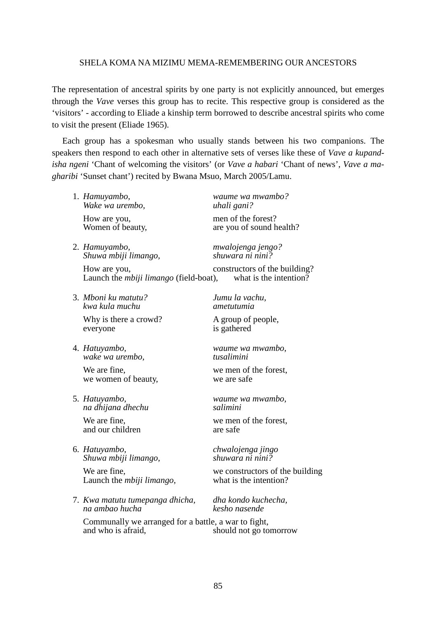The representation of ancestral spirits by one party is not explicitly announced, but emerges through the *Vave* verses this group has to recite. This respective group is considered as the 'visitors' - according to Eliade a kinship term borrowed to describe ancestral spirits who come to visit the present (Eliade 1965).

 Each group has a spokesman who usually stands between his two companions. The speakers then respond to each other in alternative sets of verses like these of *Vave a kupandisha ngeni* 'Chant of welcoming the visitors' (or *Vave a habari* 'Chant of news', *Vave a magharibi* 'Sunset chant') recited by Bwana Msuo, March 2005/Lamu.

1. *Hamuyambo, waume wa mwambo? Wake wa urembo, uhali gani?* 

*Shuwa mbiji limango,* 

How are you, constructors of the building?<br>Launch the *mhiji limango* (field-boat) what is the intention? Launch the *mbiji limango* (field-boat),

3. *Mboni ku matutu? Jumu la vachu, kwa kula muchu ametutumia*

Why is there a crowd? A group of people, everyone is gathered

4. *Hatuyambo, waume wa mwambo, wake wa urembo,* 

we women of beauty, we are safe

5. *Hatuyambo, waume wa mwambo, na dhijana dhechu salimini* 

and our children are safe

6. *Hatuyambo, chwalojenga jingo Shuwa mbiji limango,* 

Launch the *mbiji limango*,

7. *Kwa matutu tumepanga dhicha, dha kondo kuchecha, na ambao hucha kesho nasende*

How are you, men of the forest?<br>Women of beauty, are you of sound h are you of sound health?

2. *Hamuyambo, mwalojenga jengo?* 

We are fine, we men of the forest,

We are fine, we men of the forest,

We are fine,<br>
Launch the *mbiii limango*.<br>
We constructors of the building<br>
what is the intention?

 Communally we arranged for a battle, a war to fight, and who is afraid, should not go tomorrow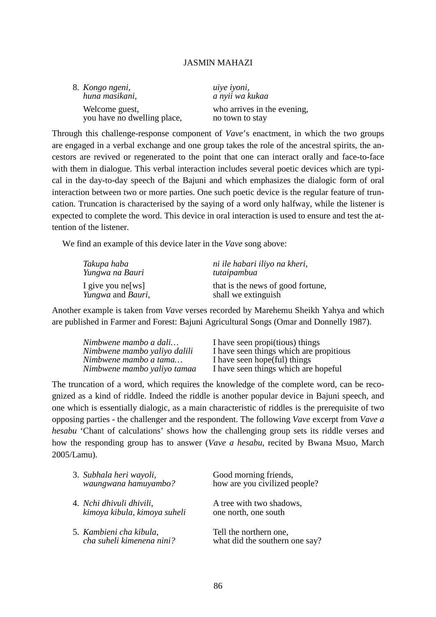| 8. Kongo ngeni,<br>huna masikani,             | uiye iyoni,<br>a nyii wa kukaa                 |
|-----------------------------------------------|------------------------------------------------|
| Welcome guest,<br>you have no dwelling place, | who arrives in the evening,<br>no town to stay |

Through this challenge-response component of *Vave*'s enactment, in which the two groups are engaged in a verbal exchange and one group takes the role of the ancestral spirits, the ancestors are revived or regenerated to the point that one can interact orally and face-to-face with them in dialogue. This verbal interaction includes several poetic devices which are typical in the day-to-day speech of the Bajuni and which emphasizes the dialogic form of oral interaction between two or more parties. One such poetic device is the regular feature of truncation. Truncation is characterised by the saying of a word only halfway, while the listener is expected to complete the word. This device in oral interaction is used to ensure and test the attention of the listener.

We find an example of this device later in the *Vave* song above:

| Takupa haba           | ni ile habari iliyo na kheri,     |
|-----------------------|-----------------------------------|
| Yungwa na Bauri       | tutaipambua                       |
| I give you ne[ $ws$ ] | that is the news of good fortune, |
| Yungwa and Bauri,     | shall we extinguish               |

Another example is taken from *Vave* verses recorded by Marehemu Sheikh Yahya and which are published in Farmer and Forest: Bajuni Agricultural Songs (Omar and Donnelly 1987).

| Nimbwene mambo a dali        | I have seen propi(tious) things         |
|------------------------------|-----------------------------------------|
| Nimbwene mambo yaliyo dalili | I have seen things which are propitious |
| Nimbwene mambo a tama        | I have seen hope (ful) things           |
| Nimbwene mambo yaliyo tamaa  | I have seen things which are hopeful    |

The truncation of a word, which requires the knowledge of the complete word, can be recognized as a kind of riddle. Indeed the riddle is another popular device in Bajuni speech, and one which is essentially dialogic, as a main characteristic of riddles is the prerequisite of two opposing parties - the challenger and the respondent. The following *Vave* excerpt from *Vave a hesabu* 'Chant of calculations' shows how the challenging group sets its riddle verses and how the responding group has to answer (*Vave a hesabu*, recited by Bwana Msuo, March 2005/Lamu).

| 3. Subhala heri wayoli,<br>waungwana hamuyambo?          | Good morning friends,<br>how are you civilized people?   |
|----------------------------------------------------------|----------------------------------------------------------|
| 4. Nchi dhivuli dhivili,<br>kimoya kibula, kimoya suheli | A tree with two shadows,<br>one north, one south         |
| 5. Kambieni cha kibula,<br>cha suheli kimenena nini?     | Tell the northern one,<br>what did the southern one say? |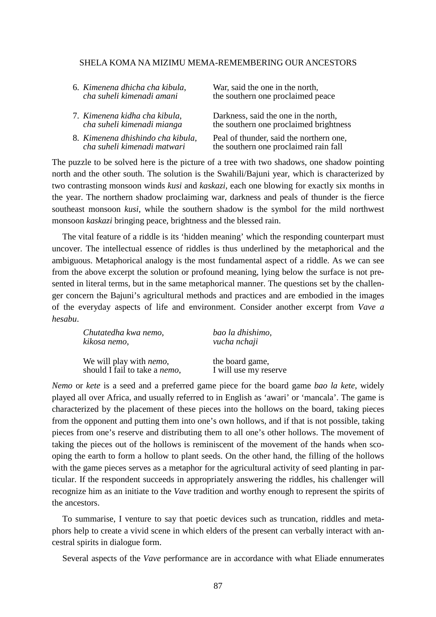| 6. Kimenena dhicha cha kibula,    | War, said the one in the north,         |
|-----------------------------------|-----------------------------------------|
| cha suheli kimenadi amani         | the southern one proclaimed peace       |
| 7. Kimenena kidha cha kibula,     | Darkness, said the one in the north,    |
| cha suheli kimenadi mianga        | the southern one proclaimed brightness  |
| 8. Kimenena dhishindo cha kibula, | Peal of thunder, said the northern one, |
| cha suheli kimenadi matwari       | the southern one proclaimed rain fall   |

The puzzle to be solved here is the picture of a tree with two shadows, one shadow pointing north and the other south. The solution is the Swahili/Bajuni year, which is characterized by two contrasting monsoon winds *kusi* and *kaskazi*, each one blowing for exactly six months in the year. The northern shadow proclaiming war, darkness and peals of thunder is the fierce southeast monsoon *kusi*, while the southern shadow is the symbol for the mild northwest monsoon *kaskazi* bringing peace, brightness and the blessed rain.

 The vital feature of a riddle is its 'hidden meaning' which the responding counterpart must uncover. The intellectual essence of riddles is thus underlined by the metaphorical and the ambiguous. Metaphorical analogy is the most fundamental aspect of a riddle. As we can see from the above excerpt the solution or profound meaning, lying below the surface is not presented in literal terms, but in the same metaphorical manner. The questions set by the challenger concern the Bajuni's agricultural methods and practices and are embodied in the images of the everyday aspects of life and environment. Consider another excerpt from *Vave a hesabu*.

| Chutatedha kwa nemo,                  | bao la dhishimo,      |
|---------------------------------------|-----------------------|
| kikosa nemo,                          | vucha nchaji          |
| We will play with <i>nemo</i> ,       | the board game,       |
| should I fail to take a <i>nemo</i> , | I will use my reserve |

*Nemo* or *kete* is a seed and a preferred game piece for the board game *bao la kete*, widely played all over Africa, and usually referred to in English as 'awari' or 'mancala'. The game is characterized by the placement of these pieces into the hollows on the board, taking pieces from the opponent and putting them into one's own hollows, and if that is not possible, taking pieces from one's reserve and distributing them to all one's other hollows. The movement of taking the pieces out of the hollows is reminiscent of the movement of the hands when scooping the earth to form a hollow to plant seeds. On the other hand, the filling of the hollows with the game pieces serves as a metaphor for the agricultural activity of seed planting in particular. If the respondent succeeds in appropriately answering the riddles, his challenger will recognize him as an initiate to the *Vave* tradition and worthy enough to represent the spirits of the ancestors.

 To summarise, I venture to say that poetic devices such as truncation, riddles and metaphors help to create a vivid scene in which elders of the present can verbally interact with ancestral spirits in dialogue form.

Several aspects of the *Vave* performance are in accordance with what Eliade ennumerates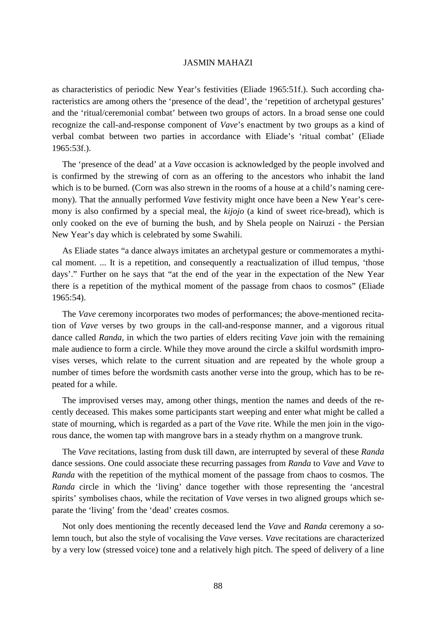as characteristics of periodic New Year's festivities (Eliade 1965:51f.). Such according characteristics are among others the 'presence of the dead', the 'repetition of archetypal gestures' and the 'ritual/ceremonial combat' between two groups of actors. In a broad sense one could recognize the call-and-response component of *Vave*'s enactment by two groups as a kind of verbal combat between two parties in accordance with Eliade's 'ritual combat' (Eliade 1965:53f.).

 The 'presence of the dead' at a *Vave* occasion is acknowledged by the people involved and is confirmed by the strewing of corn as an offering to the ancestors who inhabit the land which is to be burned. (Corn was also strewn in the rooms of a house at a child's naming ceremony). That the annually performed *Vave* festivity might once have been a New Year's ceremony is also confirmed by a special meal, the *kijojo* (a kind of sweet rice-bread), which is only cooked on the eve of burning the bush, and by Shela people on Nairuzi - the Persian New Year's day which is celebrated by some Swahili.

 As Eliade states "a dance always imitates an archetypal gesture or commemorates a mythical moment. ... It is a repetition, and consequently a reactualization of illud tempus, 'those days'." Further on he says that "at the end of the year in the expectation of the New Year there is a repetition of the mythical moment of the passage from chaos to cosmos" (Eliade 1965:54).

 The *Vave* ceremony incorporates two modes of performances; the above-mentioned recitation of *Vave* verses by two groups in the call-and-response manner, and a vigorous ritual dance called *Randa*, in which the two parties of elders reciting *Vave* join with the remaining male audience to form a circle. While they move around the circle a skilful wordsmith improvises verses, which relate to the current situation and are repeated by the whole group a number of times before the wordsmith casts another verse into the group, which has to be repeated for a while.

 The improvised verses may, among other things, mention the names and deeds of the recently deceased. This makes some participants start weeping and enter what might be called a state of mourning, which is regarded as a part of the *Vave* rite. While the men join in the vigorous dance, the women tap with mangrove bars in a steady rhythm on a mangrove trunk.

 The *Vave* recitations, lasting from dusk till dawn, are interrupted by several of these *Randa* dance sessions. One could associate these recurring passages from *Randa* to *Vave* and *Vave* to *Randa* with the repetition of the mythical moment of the passage from chaos to cosmos. The *Randa* circle in which the 'living' dance together with those representing the 'ancestral spirits' symbolises chaos, while the recitation of *Vave* verses in two aligned groups which separate the 'living' from the 'dead' creates cosmos.

 Not only does mentioning the recently deceased lend the *Vave* and *Randa* ceremony a solemn touch, but also the style of vocalising the *Vave* verses. *Vave* recitations are characterized by a very low (stressed voice) tone and a relatively high pitch. The speed of delivery of a line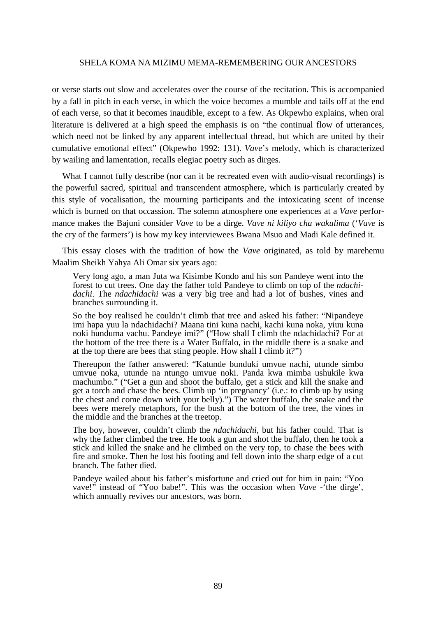or verse starts out slow and accelerates over the course of the recitation. This is accompanied by a fall in pitch in each verse, in which the voice becomes a mumble and tails off at the end of each verse, so that it becomes inaudible, except to a few. As Okpewho explains, when oral literature is delivered at a high speed the emphasis is on "the continual flow of utterances, which need not be linked by any apparent intellectual thread, but which are united by their cumulative emotional effect" (Okpewho 1992: 131). *Vave*'s melody, which is characterized by wailing and lamentation, recalls elegiac poetry such as dirges.

 What I cannot fully describe (nor can it be recreated even with audio-visual recordings) is the powerful sacred, spiritual and transcendent atmosphere, which is particularly created by this style of vocalisation, the mourning participants and the intoxicating scent of incense which is burned on that occassion. The solemn atmosphere one experiences at a *Vave* performance makes the Bajuni consider *Vave* to be a dirge. *Vave ni kiliyo cha wakulima* ('*Vave* is the cry of the farmers') is how my key interviewees Bwana Msuo and Madi Kale defined it.

 This essay closes with the tradition of how the *Vave* originated, as told by marehemu Maalim Sheikh Yahya Ali Omar six years ago:

Very long ago, a man Juta wa Kisimbe Kondo and his son Pandeye went into the forest to cut trees. One day the father told Pandeye to climb on top of the *ndachidachi*. The *ndachidachi* was a very big tree and had a lot of bushes, vines and branches surrounding it.

So the boy realised he couldn't climb that tree and asked his father: "Nipandeye imi hapa yuu la ndachidachi? Maana tini kuna nachi, kachi kuna noka, yiuu kuna noki hunduma vachu. Pandeye imi?" ("How shall I climb the ndachidachi? For at the bottom of the tree there is a Water Buffalo, in the middle there is a snake and at the top there are bees that sting people. How shall I climb it?")

Thereupon the father answered: "Katunde bunduki umvue nachi, utunde simbo umvue noka, utunde na ntungo umvue noki. Panda kwa mimba ushukile kwa machumbo." ("Get a gun and shoot the buffalo, get a stick and kill the snake and get a torch and chase the bees. Climb up 'in pregnancy' (i.e.: to climb up by using the chest and come down with your belly).") The water buffalo, the snake and the bees were merely metaphors, for the bush at the bottom of the tree, the vines in the middle and the branches at the treetop.

The boy, however, couldn't climb the *ndachidachi*, but his father could. That is why the father climbed the tree. He took a gun and shot the buffalo, then he took a stick and killed the snake and he climbed on the very top, to chase the bees with fire and smoke. Then he lost his footing and fell down into the sharp edge of a cut branch. The father died.

Pandeye wailed about his father's misfortune and cried out for him in pain: "Yoo vave!" instead of "Yoo babe!". This was the occasion when *Vave* -'the dirge', which annually revives our ancestors, was born.